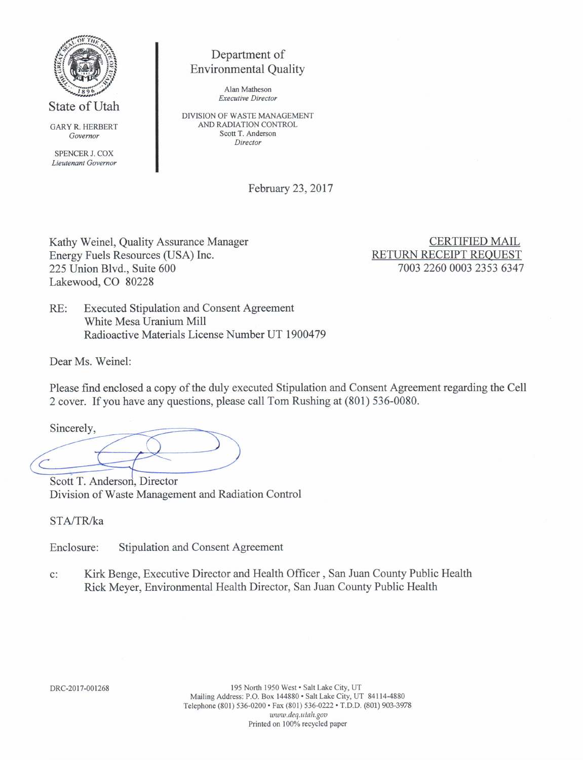

State of Utah

GARY R. HERBERT Governor

SPENCER J. COX Lieutenant Governor

# Department of Environmental Quality

AIan Matheson Execative Director

DTVISION OF WASTE MANAGEMENT AND RADIATION CONTROL Scott T. Anderson Director

February 23,2017

Kathy Weinel, Quality Assurance Manager Energy Fuels Resources (USA) Inc. 225 Union Blvd., Suite 600 Lakewood, CO 80228

CERTIFIED MAIL RETURN RECEIPT REOUEST 7003 2260 0003 2353 6347

RE: Executed Stipulation and Consent Agreement White Mesa Uranium Mill Radioactive Materials License Number UT 1900479

Dear Ms. Weinel:

Please find enclosed a copy of the duly executed Stipulation and Consent Agreement regarding the Cell 2 cover. If you have any questions, please call Tom Rushing at (801) 536-0080.

Sincerely,

Scott T. Anderson, Director Division of Waste Management and Radiation Control

STA/TR/ka

Enclosure: Stipulation and Consent Agreement

c: Kirk Benge, Executive Director and Health Officer, San Juan County Public Health Rick Meyer, Environmental Health Director, San Juan County Public Health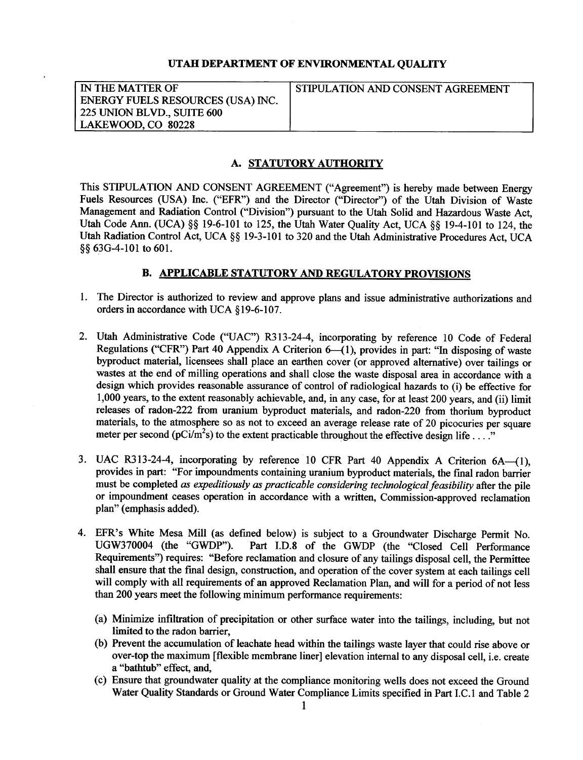### UTAH DEPARTMENT OF ENVIRONMENTAL QUALITY

| IN THE MATTER OF                  | STIPULATION AND CONSENT AGREEMENT |
|-----------------------------------|-----------------------------------|
| ENERGY FUELS RESOURCES (USA) INC. |                                   |
| 225 UNION BLVD., SUITE 600        |                                   |
| LAKEWOOD, CO 80228                |                                   |

# A. STATUTORY AUTHORITY

This STIPULATION AND CONSENT AGREEMENT ("Agreement") is hereby made between Energy Fuels Resources (USA) Inc. (\*EFR") and the Director ("Director") of the Utah Division of Waste Management and Radiation Control ("Division") pursuant to the Utah Solid and Hazardous Waste Act, Utah Code Ann. (UCA)  $\S\S$  19-6-101 to 125, the Utah Water Quality Act, UCA  $\S\S$  19-4-101 to 124, the Utah Radiation Control Act, UCA §§ 19-3-101 to 320 and the Utah Administrative Procedures Act, UCA \$\$ 63G4-101 to 601.

# B. APPLICABLE STATUTORY AND REGULATORY PROVISIONS

- l. The Director is authorized to review and approve plans and issue administrative authorizations and orders in accordance with UCA \$19-6-107.
- Utah Administrative Code ("UAC") R313-24-4, incorporating by reference 10 Code of Federal Regulations ("CFR") Part 40 Appendix A Criterion  $6-(1)$ , provides in part: "In disposing of waste byproduct material, licensees shall place an earthen cover (or approved alternative) over tailings or wastes at the end of milling operations and shall close the waste disposal area in accordance with <sup>a</sup> design which provides reasonable assurance of control of radiological hazards to (i) be effective for 1,000 years, to the extent reasonably achievable, and, in any case, for at least 200 years, and (ii) limit releases of radon-222 from uranium byproduct materials, and radon-220 from thorium byproduct materials, to the atmosphere so as not to exceed an average release rate of 20 picocuries per squaxe meter per second (pCi/m<sup>2</sup>s) to the extent practicable throughout the effective design life . . .<sup>"</sup>
- 3. UAC R313-24-4, incorporating by reference 10 CFR Part 40 Appendix A Criterion 6A-(1), provides in part: "For impoundments containing uranium byproduct materials, the final radon barrier must be completed as expeditiously as practicable considering technological feasibility after the pile or impoundment ceases operation in accordance with a written, Commission-approved reclamation plan" (emphasis added).
- 4. EFR's White Mesa Mill (as defined below) is subject to a Groundwater Discharge Permit No.<br>UGW370004 (the "GWDP"). Part I.D.8 of the GWDP (the "Closed Cell Performance Part I.D.8 of the GWDP (the "Closed Cell Performance Requirements") requires: "Before reclamation and closure of any tailings disposal cell, the Permittee shall ensure that the final design, construction, and operation of the cover system at each tailings cell will comply with all requirements of an approved Reclamation Plan, and will for a period of not less than 200 years meet the following minimum performance requirements:
	- (a) Minimize infiltration of precipitation or other surface water into the tailings, including, but not limited to the radon barrier,
	- (b) Prevent the accumulation of leachate head within the tailings waste layer that could rise above or over-top the maximum [flexible membrane liner] elevation internal to any disposal cell, i.e. create a "bathtub" effect, and,
	- (c) Ensure that groundwater quality at the compliance monitoring wells does not exceed the Ground Water Quality Standards or Ground Water Compliance Limits specified in Part I.C.1 and Table 2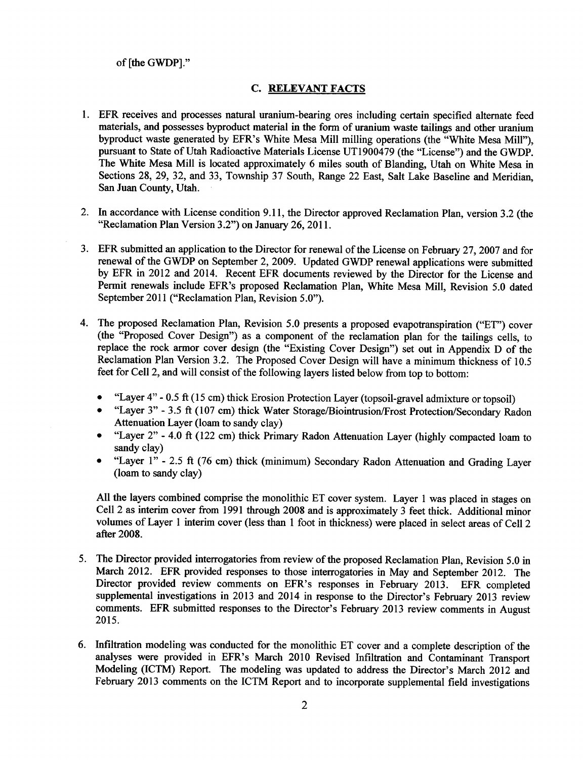# of [the GWDP].'

# **C. RELEVANT FACTS**

- 1. EFR receives and processes natural uranium-bearing ores including certain specified altemate feed materials, and possesses byproduct material in the form of uranium waste tailings and other uranium byproduct waste generated by EFR's White Mesa Mill milling operations (the "White Mesa Mill"), pursuant to State of Utah Radioactive Materials License UT1900479 (the "License") and the GWDP. The White Mesa Mill is located approximately 6 miles south of Blanding, Utah on White Mesa in Sections 28,29,32, and 33, Township 37 South, Range 22 East, Salt Lake Baseline and Meridian, San Juan County, Utah.
- 2. In accordance with License condition 9.11, the Director approved Reclamation Plan, version 3.2 (the "Reclamation Plan Version 3.2") on January 26, 2011.
- EFR submitted an application to the Director for renewal of the License on February 27,2007 and for 3. renewal of the GWDP on September 2,2009. Updated GWDP renewal applications were submitted by EFR in 2012 and 2014. Recent EFR documents reviewed by the Director for the License and Permit renewals include EFR's proposed Reclamation Plan, White Mesa Mill, Revision 5.0 dated September 2011 ("Reclamation Plan, Revision 5.0").
- The proposed Reclamation Plan, Revision 5.0 presents a proposed evapotranspiration ("ET") cover 4. (the "Proposed Cover Design") as a component of the reclamation plan for the tailings cells, to replace the rock annor cover design (the "Existing Cover Design") set out in Appendix D of the Reclamation Plan Version 3.2. The Proposed Cover Design will have a minimum thickness of 10.5 feet for Cell 2, and will consist of the following layers listed below from top to bottom:
	- o "Layer 4" 0.5 ft (15 cm) thick Erosion Protection Layer (topsoil-gravel admixture or topsoil)
	- o "Layer 3" 3.5 ft (107 cm) thick Water Storage/Biointrusion/Frost Protection/Secondary Radon Attenuation Layer (loam to sandy clay)
	- o "Layer 2" 4.0 ft (122 cm) thick Primary Radon Attenuation Layer (highly compacted loam to sandy clay)
	- o "Layer l" 2.5 ft (76 cm) thick (minimum) Secondary Radon Attenuation and Grading Layer (loam to sandy clay)

All the layers combined comprise the monolithic ET cover system. Layer I was placed in stages on Cell2 as interim cover from l99l through 2008 and is approximately 3 feet thick. Additional minor volumes of Layer 1 interim cover (less than I foot in thickness) were placed in select areas of Cell <sup>2</sup> after 2008.

- The Director provided interrogatories from review of the proposed Reclamation Plan, Revision 5.0 in 5.March 2012. EFR provided responses to those interrogatories in May and September 2012. The Director provided review comments on EFR's responses in February 2013. EFR completed supplemental investigations in 2013 and 2014 in response to the Director's February 2013 review comments. EFR submitted responses to the Director's February 2013 review comments in August 2015.
- Infiltration modeling was conducted for the monolithic ET cover and a complete description of the analyses were provided in EFR's March 2010 Revised Infiltration and Contaminant Transport Modeling (ICTM) Report. The modeling was updated to address the Director's March 2012 and February 2013 comments on the ICTM Report and to incorporate supplemental field investigations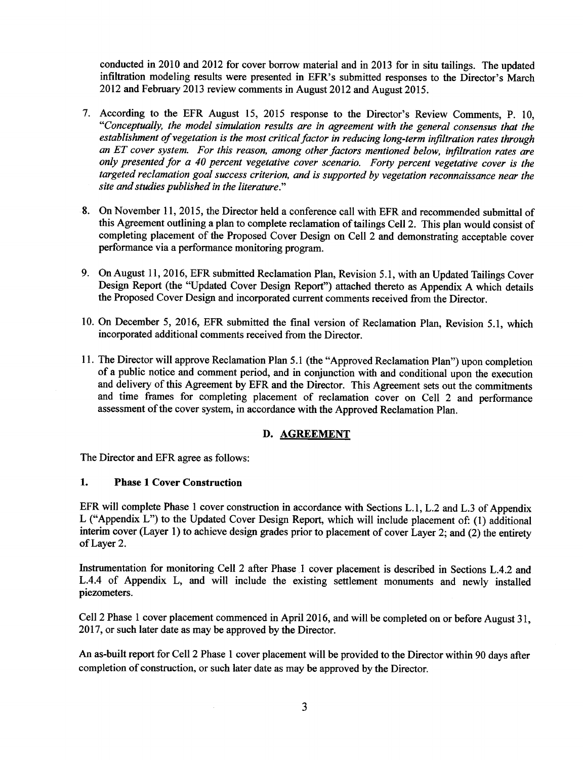conducted in 2010 and 2012 for cover borrow material and in 2013 for in situ tailings. The updated infiltration modeling results were presented in EFR's submitted responses to the Director's March 2012 and February 2013 review comments in August 2012 and August 2015.

- 7. According to the EFR August 15, 2015 response to the Director's Review Comments, P. 10, "Conceptually, the model simulation results are in agreement with the general consensus that the establishment of vegetation is the most critical factor in reducing long-term infiltration rates through an ET cover system. For this reason, among other factors mentioned below, infiltration rates are only presented for a 40 percent vegetative cover scenario. Forty percent vegetative cover is the targeted reclamation goal success criterion, and is supported by vegetation reconnaissance near the site and studies published in the literature."
- 8. On November 11,2015, the Director held a conference call with EFR and recommended submittal of this Agreement outlining a plan to complete reclamation of tailings Cell2. This plan would consist of completing placement of the Proposed Cover Design on Cell 2 and demonstrating acceptable cover performance via a perfiormance monitoring program.
- 9. On August 11, 2016, EFR submitted Reclamation Plan, Revision 5.1, with an Updated Tailings Cover Design Report (the "Updated Cover Design Report") attached thereto as Appendix A which details the Proposed Cover Design and incorporated current comments received from the Director.
- 10. On December 5,2016, EFR submitted the final version of Reclamation Plan, Revision 5.1, which incorporated additional comments received from the Director.
- 11. The Director will approve Reclamation Plan 5.1 (the "Approved Reclamation Plan") upon completion of a public notice and comment period, and in conjunction with and conditional upon the execution and delivery of this Agreement by EFR and the Director. This Agreement sets out the commitments and time frames for completing placement of reclamation cover on Cell 2 and performance assessment of the cover system, in accordance with the Approved Reclamation Plan.

# D. AGREEMENT

The Director and EFR agree as follows:

### 1. Phase 1 Cover Construction

EFR will complete Phase 1 cover construction in accordance with Sections L.1, L.2 and L.3 of Appendix L ("Appendix L") to the Updated Cover Design Report, which will include placement of: (1) additional interim cover (Layer 1) to achieve design grades prior to placement of cover Layer 2; and (2) the entirety of Layer 2.

Instrumentation for monitoring Cell 2 after Phase 1 cover placement is described in Sections L.4.2 and L.4.4 of Appendix L, and will include the existing settlement monuments and newly installed piezometers.

Cell2 Phase I cover placement commenced in April 2016, andwill be completed on or before August 31, 2017, or such later date as may be approved by the Director.

An as-built report for Cell 2 Phase I cover placement will be provided to the Director within 90 days after completion of construction, or such later date as may be approved by the Director.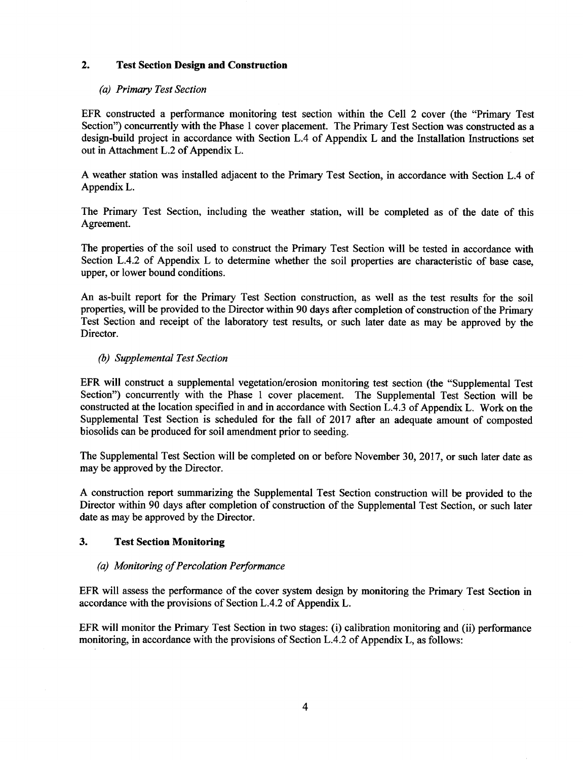# 2. Test Section Design and Construction

# (a) Primary Test Section

EFR constructed a performance monitoring test section within the Cell 2 cover (the "Primary Test Section") concurrently with the Phase I cover placement. The Primary Test Section was constructed as <sup>a</sup> design-build project in accordance with Section L.4 of Appendix L and the Installation Instructions set out in Attachment L.2 of Appendix L.

A weather station was installed adjacent to the Primary Test Section, in accordance with Section L.4 of Appendix L.

The Primary Test Section, including the weather station, will be completed as of the date of this Agreement.

The properties of the soil used to construct the Primary Test Section will be tested in accordance with Section L.4.2 of Appendix L to determine whether the soil properties are characteristic of base case, upper, or lower bound conditions.

An as-built report for the Primary Test Section construction, as well as the test results for the soil properties, will be provided to the Director within 90 days after completion of construction of the Primary Test Section and receipt of the laboratory test results, or such later date as may be approved by the Director.

# (b) Supplemental Test Section

EFR will construct a supplemental vegetation/erosion monitoring test section (the "supplemental Test Section") concurrently with the Phase 1 cover placement. The Supplemental Test Section will be constructed at the location specified in and in accordance with Section L.4.3 of Appendix L. Work on the Supplemental Test Section is scheduled for the fall of 2017 after an adequate amount of composted biosolids can be produced for soil amendment prior to seeding.

The Supplemental Test Section will be completed on or before November 30,2017, or such later date as may be approved by the Director.

A construction report summarizing the Supplemental Test Section construction will be provided to the Director within 90 days after completion of construction of the Supplemental Test Section, or such later date as may be approved by the Director.

# 3. Test Section Monitoring

# (a) Monitoring of Percolation Performance

EFR will assess the performance of the cover system design by monitoring the Primary Test Section in accordance with the provisions of Section L.4.2 of Appendix L.

EFR will monitor the Primary Test Section in two stages: (i) calibration monitoring and (ii) performance monitoring, in accordance with the provisions of SectionL.4.2 of Appendix L, as follows: